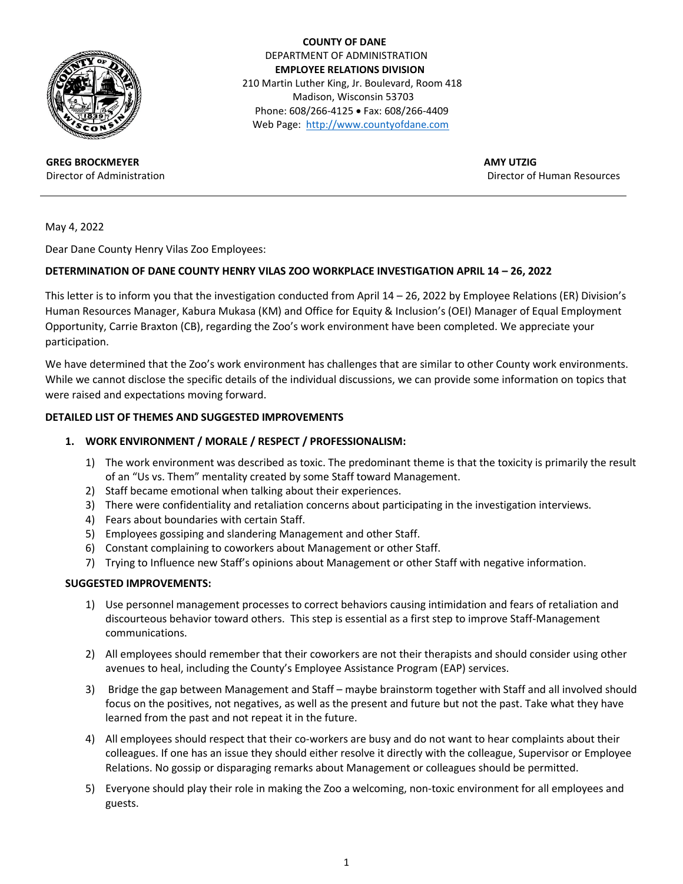

**GREG BROCKMEYER** Director of Administration

 **COUNTY OF DANE** DEPARTMENT OF ADMINISTRATION  **EMPLOYEE RELATIONS DIVISION** 210 Martin Luther King, Jr. Boulevard, Room 418 Madison, Wisconsin 53703 Phone: 608/266-4125 • Fax: 608/266-4409 Web Page: [http://www.countyofdane.com](http://www.countyofdane.com/)

> **AMY UTZIG** Director of Human Resources

May 4, 2022

Dear Dane County Henry Vilas Zoo Employees:

## **DETERMINATION OF DANE COUNTY HENRY VILAS ZOO WORKPLACE INVESTIGATION APRIL 14 – 26, 2022**

This letter is to inform you that the investigation conducted from April 14 – 26, 2022 by Employee Relations (ER) Division's Human Resources Manager, Kabura Mukasa (KM) and Office for Equity & Inclusion's (OEI) Manager of Equal Employment Opportunity, Carrie Braxton (CB), regarding the Zoo's work environment have been completed. We appreciate your participation.

We have determined that the Zoo's work environment has challenges that are similar to other County work environments. While we cannot disclose the specific details of the individual discussions, we can provide some information on topics that were raised and expectations moving forward.

## **DETAILED LIST OF THEMES AND SUGGESTED IMPROVEMENTS**

### **1. WORK ENVIRONMENT / MORALE / RESPECT / PROFESSIONALISM:**

- 1) The work environment was described as toxic. The predominant theme is that the toxicity is primarily the result of an "Us vs. Them" mentality created by some Staff toward Management.
- 2) Staff became emotional when talking about their experiences.
- 3) There were confidentiality and retaliation concerns about participating in the investigation interviews.
- 4) Fears about boundaries with certain Staff.
- 5) Employees gossiping and slandering Management and other Staff.
- 6) Constant complaining to coworkers about Management or other Staff.
- 7) Trying to Influence new Staff's opinions about Management or other Staff with negative information.

### **SUGGESTED IMPROVEMENTS:**

- 1) Use personnel management processes to correct behaviors causing intimidation and fears of retaliation and discourteous behavior toward others. This step is essential as a first step to improve Staff-Management communications.
- 2) All employees should remember that their coworkers are not their therapists and should consider using other avenues to heal, including the County's Employee Assistance Program (EAP) services.
- 3) Bridge the gap between Management and Staff maybe brainstorm together with Staff and all involved should focus on the positives, not negatives, as well as the present and future but not the past. Take what they have learned from the past and not repeat it in the future.
- 4) All employees should respect that their co-workers are busy and do not want to hear complaints about their colleagues. If one has an issue they should either resolve it directly with the colleague, Supervisor or Employee Relations. No gossip or disparaging remarks about Management or colleagues should be permitted.
- 5) Everyone should play their role in making the Zoo a welcoming, non-toxic environment for all employees and guests.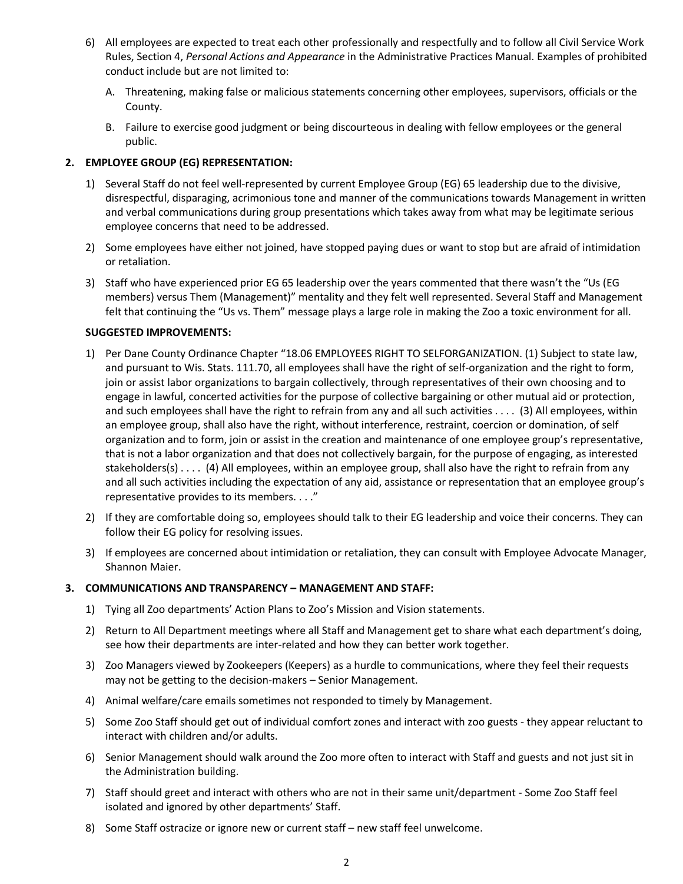- 6) All employees are expected to treat each other professionally and respectfully and to follow all Civil Service Work Rules, Section 4, *Personal Actions and Appearance* in the Administrative Practices Manual. Examples of prohibited conduct include but are not limited to:
	- A. Threatening, making false or malicious statements concerning other employees, supervisors, officials or the County.
	- B. Failure to exercise good judgment or being discourteous in dealing with fellow employees or the general public.

## **2. EMPLOYEE GROUP (EG) REPRESENTATION:**

- 1) Several Staff do not feel well-represented by current Employee Group (EG) 65 leadership due to the divisive, disrespectful, disparaging, acrimonious tone and manner of the communications towards Management in written and verbal communications during group presentations which takes away from what may be legitimate serious employee concerns that need to be addressed.
- 2) Some employees have either not joined, have stopped paying dues or want to stop but are afraid of intimidation or retaliation.
- 3) Staff who have experienced prior EG 65 leadership over the years commented that there wasn't the "Us (EG members) versus Them (Management)" mentality and they felt well represented. Several Staff and Management felt that continuing the "Us vs. Them" message plays a large role in making the Zoo a toxic environment for all.

## **SUGGESTED IMPROVEMENTS:**

- 1) Per Dane County Ordinance Chapter "18.06 EMPLOYEES RIGHT TO SELFORGANIZATION. (1) Subject to state law, and pursuant to Wis. Stats. 111.70, all employees shall have the right of self-organization and the right to form, join or assist labor organizations to bargain collectively, through representatives of their own choosing and to engage in lawful, concerted activities for the purpose of collective bargaining or other mutual aid or protection, and such employees shall have the right to refrain from any and all such activities . . . . (3) All employees, within an employee group, shall also have the right, without interference, restraint, coercion or domination, of self organization and to form, join or assist in the creation and maintenance of one employee group's representative, that is not a labor organization and that does not collectively bargain, for the purpose of engaging, as interested stakeholders(s) . . . . (4) All employees, within an employee group, shall also have the right to refrain from any and all such activities including the expectation of any aid, assistance or representation that an employee group's representative provides to its members. . . ."
- 2) If they are comfortable doing so, employees should talk to their EG leadership and voice their concerns. They can follow their EG policy for resolving issues.
- 3) If employees are concerned about intimidation or retaliation, they can consult with Employee Advocate Manager, Shannon Maier.

## **3. COMMUNICATIONS AND TRANSPARENCY – MANAGEMENT AND STAFF:**

- 1) Tying all Zoo departments' Action Plans to Zoo's Mission and Vision statements.
- 2) Return to All Department meetings where all Staff and Management get to share what each department's doing, see how their departments are inter-related and how they can better work together.
- 3) Zoo Managers viewed by Zookeepers (Keepers) as a hurdle to communications, where they feel their requests may not be getting to the decision-makers – Senior Management.
- 4) Animal welfare/care emails sometimes not responded to timely by Management.
- 5) Some Zoo Staff should get out of individual comfort zones and interact with zoo guests they appear reluctant to interact with children and/or adults.
- 6) Senior Management should walk around the Zoo more often to interact with Staff and guests and not just sit in the Administration building.
- 7) Staff should greet and interact with others who are not in their same unit/department Some Zoo Staff feel isolated and ignored by other departments' Staff.
- 8) Some Staff ostracize or ignore new or current staff new staff feel unwelcome.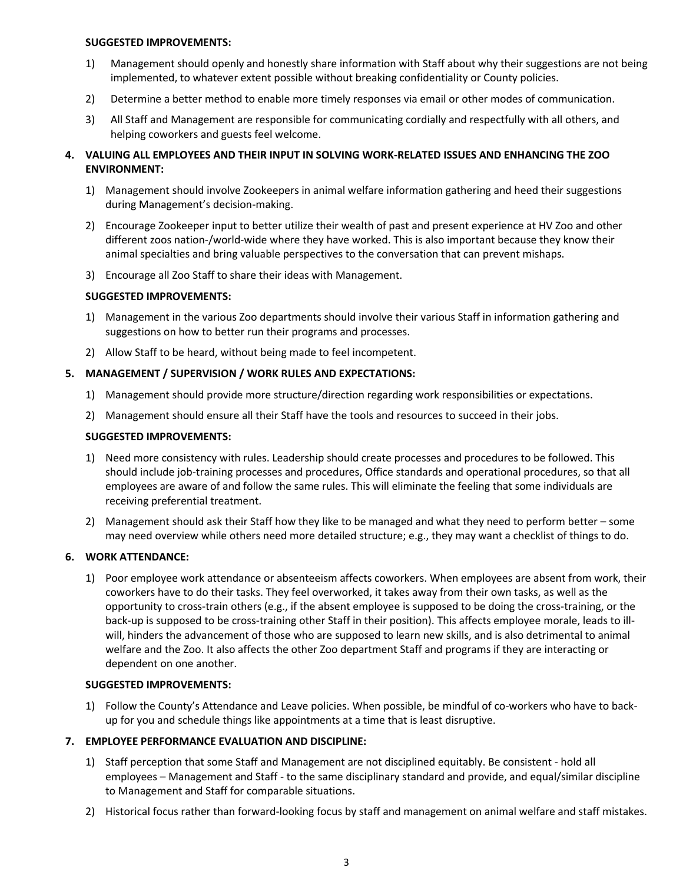#### **SUGGESTED IMPROVEMENTS:**

- 1) Management should openly and honestly share information with Staff about why their suggestions are not being implemented, to whatever extent possible without breaking confidentiality or County policies.
- 2) Determine a better method to enable more timely responses via email or other modes of communication.
- 3) All Staff and Management are responsible for communicating cordially and respectfully with all others, and helping coworkers and guests feel welcome.

## **4. VALUING ALL EMPLOYEES AND THEIR INPUT IN SOLVING WORK-RELATED ISSUES AND ENHANCING THE ZOO ENVIRONMENT:**

- 1) Management should involve Zookeepers in animal welfare information gathering and heed their suggestions during Management's decision-making.
- 2) Encourage Zookeeper input to better utilize their wealth of past and present experience at HV Zoo and other different zoos nation-/world-wide where they have worked. This is also important because they know their animal specialties and bring valuable perspectives to the conversation that can prevent mishaps.
- 3) Encourage all Zoo Staff to share their ideas with Management.

## **SUGGESTED IMPROVEMENTS:**

- 1) Management in the various Zoo departments should involve their various Staff in information gathering and suggestions on how to better run their programs and processes.
- 2) Allow Staff to be heard, without being made to feel incompetent.

## **5. MANAGEMENT / SUPERVISION / WORK RULES AND EXPECTATIONS:**

- 1) Management should provide more structure/direction regarding work responsibilities or expectations.
- 2) Management should ensure all their Staff have the tools and resources to succeed in their jobs.

### **SUGGESTED IMPROVEMENTS:**

- 1) Need more consistency with rules. Leadership should create processes and procedures to be followed. This should include job-training processes and procedures, Office standards and operational procedures, so that all employees are aware of and follow the same rules. This will eliminate the feeling that some individuals are receiving preferential treatment.
- 2) Management should ask their Staff how they like to be managed and what they need to perform better some may need overview while others need more detailed structure; e.g., they may want a checklist of things to do.

### **6. WORK ATTENDANCE:**

1) Poor employee work attendance or absenteeism affects coworkers. When employees are absent from work, their coworkers have to do their tasks. They feel overworked, it takes away from their own tasks, as well as the opportunity to cross-train others (e.g., if the absent employee is supposed to be doing the cross-training, or the back-up is supposed to be cross-training other Staff in their position). This affects employee morale, leads to illwill, hinders the advancement of those who are supposed to learn new skills, and is also detrimental to animal welfare and the Zoo. It also affects the other Zoo department Staff and programs if they are interacting or dependent on one another.

### **SUGGESTED IMPROVEMENTS:**

1) Follow the County's Attendance and Leave policies. When possible, be mindful of co-workers who have to backup for you and schedule things like appointments at a time that is least disruptive.

## **7. EMPLOYEE PERFORMANCE EVALUATION AND DISCIPLINE:**

- 1) Staff perception that some Staff and Management are not disciplined equitably. Be consistent hold all employees – Management and Staff - to the same disciplinary standard and provide, and equal/similar discipline to Management and Staff for comparable situations.
- 2) Historical focus rather than forward-looking focus by staff and management on animal welfare and staff mistakes.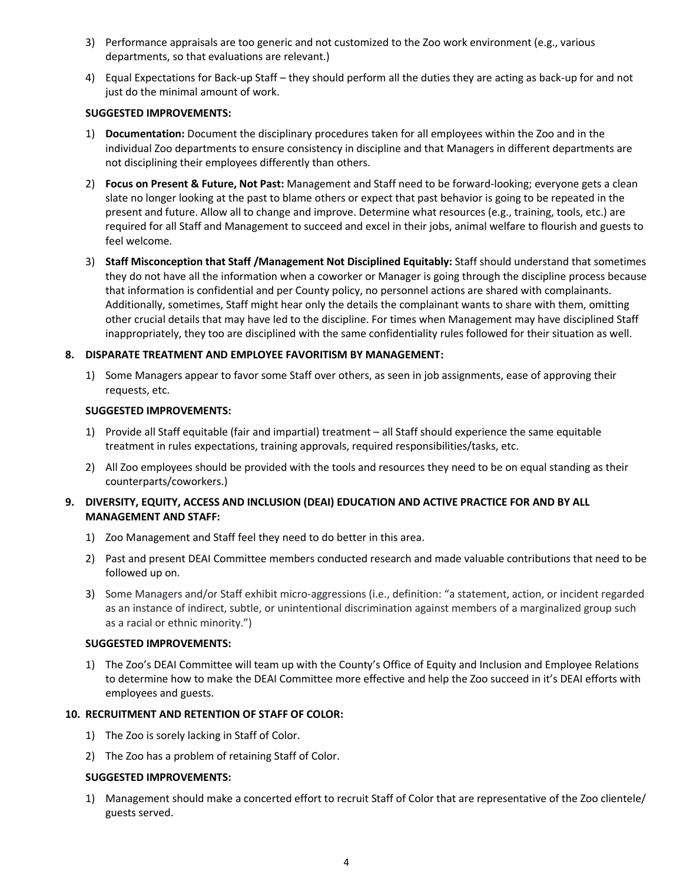- 3) Performance appraisals are too generic and not customized to the Zoo work environment (e.g., various departments, so that evaluations are relevant.)
- 4) Equal Expectations for Back-up Staff they should perform all the duties they are acting as back-up for and not just do the minimal amount of work.

### **SUGGESTED IMPROVEMENTS:**

- 1) **Documentation:** Document the disciplinary procedures taken for all employees within the Zoo and in the individual Zoo departments to ensure consistency in discipline and that Managers in different departments are not disciplining their employees differently than others.
- 2) **Focus on Present & Future, Not Past:** Management and Staff need to be forward-looking; everyone gets a clean slate no longer looking at the past to blame others or expect that past behavior is going to be repeated in the present and future. Allow all to change and improve. Determine what resources (e.g., training, tools, etc.) are required for all Staff and Management to succeed and excel in their jobs, animal welfare to flourish and guests to feel welcome.
- 3) **Staff Misconception that Staff /Management Not Disciplined Equitably:** Staff should understand that sometimes they do not have all the information when a coworker or Manager is going through the discipline process because that information is confidential and per County policy, no personnel actions are shared with complainants. Additionally, sometimes, Staff might hear only the details the complainant wants to share with them, omitting other crucial details that may have led to the discipline. For times when Management may have disciplined Staff inappropriately, they too are disciplined with the same confidentiality rules followed for their situation as well.

## **8. DISPARATE TREATMENT AND EMPLOYEE FAVORITISM BY MANAGEMENT:**

1) Some Managers appear to favor some Staff over others, as seen in job assignments, ease of approving their requests, etc.

## **SUGGESTED IMPROVEMENTS:**

- 1) Provide all Staff equitable (fair and impartial) treatment all Staff should experience the same equitable treatment in rules expectations, training approvals, required responsibilities/tasks, etc.
- 2) All Zoo employees should be provided with the tools and resources they need to be on equal standing as their counterparts/coworkers.)

## **9. DIVERSITY, EQUITY, ACCESS AND INCLUSION (DEAI) EDUCATION AND ACTIVE PRACTICE FOR AND BY ALL MANAGEMENT AND STAFF:**

- 1) Zoo Management and Staff feel they need to do better in this area.
- 2) Past and present DEAI Committee members conducted research and made valuable contributions that need to be followed up on.
- 3) Some Managers and/or Staff exhibit micro-aggressions (i.e., definition: "a statement, action, or incident regarded as an instance of indirect, subtle, or unintentional discrimination against members of a marginalized group such as a racial or ethnic minority.")

### **SUGGESTED IMPROVEMENTS:**

1) The Zoo's DEAI Committee will team up with the County's Office of Equity and Inclusion and Employee Relations to determine how to make the DEAI Committee more effective and help the Zoo succeed in it's DEAI efforts with employees and guests.

## **10. RECRUITMENT AND RETENTION OF STAFF OF COLOR:**

- 1) The Zoo is sorely lacking in Staff of Color.
- 2) The Zoo has a problem of retaining Staff of Color.

### **SUGGESTED IMPROVEMENTS:**

1) Management should make a concerted effort to recruit Staff of Color that are representative of the Zoo clientele/ guests served.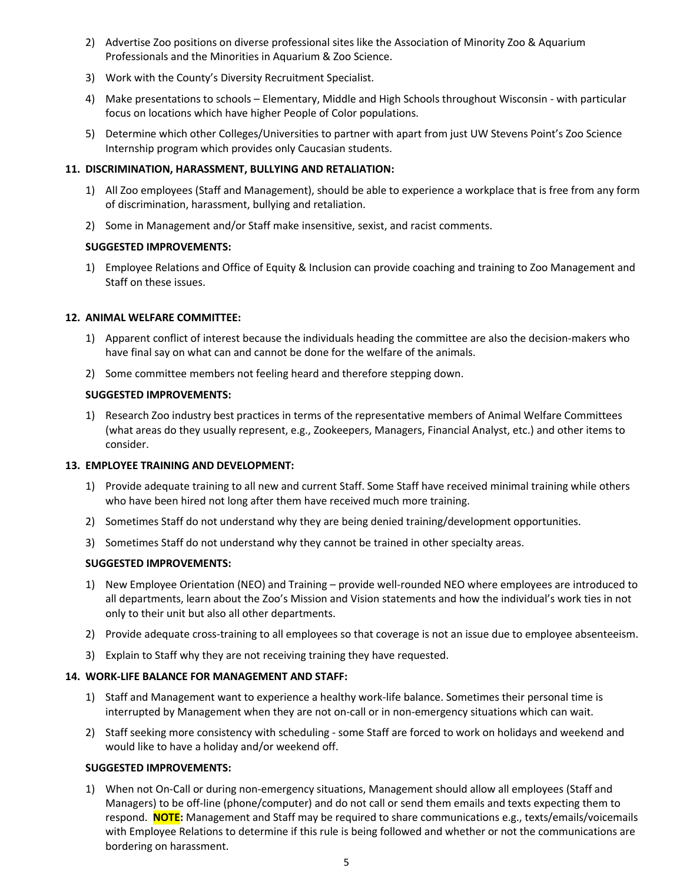- 2) Advertise Zoo positions on diverse professional sites like the Association of Minority Zoo & Aquarium Professionals and the Minorities in Aquarium & Zoo Science.
- 3) Work with the County's Diversity Recruitment Specialist.
- 4) Make presentations to schools Elementary, Middle and High Schools throughout Wisconsin with particular focus on locations which have higher People of Color populations.
- 5) Determine which other Colleges/Universities to partner with apart from just UW Stevens Point's Zoo Science Internship program which provides only Caucasian students.

## **11. DISCRIMINATION, HARASSMENT, BULLYING AND RETALIATION:**

- 1) All Zoo employees (Staff and Management), should be able to experience a workplace that is free from any form of discrimination, harassment, bullying and retaliation.
- 2) Some in Management and/or Staff make insensitive, sexist, and racist comments.

## **SUGGESTED IMPROVEMENTS:**

1) Employee Relations and Office of Equity & Inclusion can provide coaching and training to Zoo Management and Staff on these issues.

## **12. ANIMAL WELFARE COMMITTEE:**

- 1) Apparent conflict of interest because the individuals heading the committee are also the decision-makers who have final say on what can and cannot be done for the welfare of the animals.
- 2) Some committee members not feeling heard and therefore stepping down.

## **SUGGESTED IMPROVEMENTS:**

1) Research Zoo industry best practices in terms of the representative members of Animal Welfare Committees (what areas do they usually represent, e.g., Zookeepers, Managers, Financial Analyst, etc.) and other items to consider.

### **13. EMPLOYEE TRAINING AND DEVELOPMENT:**

- 1) Provide adequate training to all new and current Staff. Some Staff have received minimal training while others who have been hired not long after them have received much more training.
- 2) Sometimes Staff do not understand why they are being denied training/development opportunities.
- 3) Sometimes Staff do not understand why they cannot be trained in other specialty areas.

## **SUGGESTED IMPROVEMENTS:**

- 1) New Employee Orientation (NEO) and Training provide well-rounded NEO where employees are introduced to all departments, learn about the Zoo's Mission and Vision statements and how the individual's work ties in not only to their unit but also all other departments.
- 2) Provide adequate cross-training to all employees so that coverage is not an issue due to employee absenteeism.
- 3) Explain to Staff why they are not receiving training they have requested.

## **14. WORK-LIFE BALANCE FOR MANAGEMENT AND STAFF:**

- 1) Staff and Management want to experience a healthy work-life balance. Sometimes their personal time is interrupted by Management when they are not on-call or in non-emergency situations which can wait.
- 2) Staff seeking more consistency with scheduling some Staff are forced to work on holidays and weekend and would like to have a holiday and/or weekend off.

### **SUGGESTED IMPROVEMENTS:**

1) When not On-Call or during non-emergency situations, Management should allow all employees (Staff and Managers) to be off-line (phone/computer) and do not call or send them emails and texts expecting them to respond. **NOTE:** Management and Staff may be required to share communications e.g., texts/emails/voicemails with Employee Relations to determine if this rule is being followed and whether or not the communications are bordering on harassment.